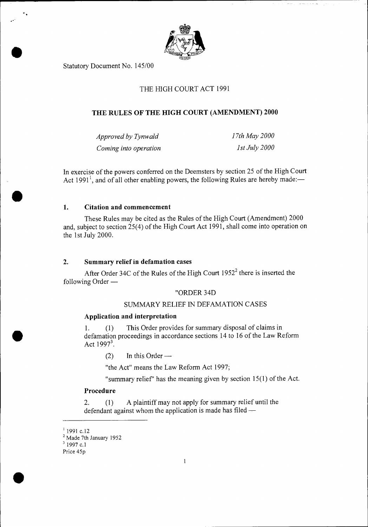

Statutory Document No. 145/00

# THE HIGH COURT ACT 1991

# **THE RULES OF THE HIGH COURT (AMENDMENT) 2000**

| Approved by Tynwald   | 17th May 2000   |
|-----------------------|-----------------|
| Coming into operation | $1st$ July 2000 |

In exercise of the powers conferred on the Deemsters by section 25 of the High Court Act 1991<sup>1</sup>, and of all other enabling powers, the following Rules are hereby made:—

## **1. Citation and commencement**

**•** 

•

These Rules may be cited as the Rules of the High Court (Amendment) 2000 and, subject to section 25(4) of the High Court Act 1991, shall come into operation on the 1st July 2000.

## **2. Summary relief in defamation cases**

After Order 34C of the Rules of the High Court  $1952<sup>2</sup>$  there is inserted the following Order —

## "ORDER 34D

# SUMMARY RELIEF IN DEFAMATION CASES

## **Application and interpretation**

1. (1) This Order provides for summary disposal of claims in defamation proceedings in accordance sections 14 to 16 of the Law Reform Act  $1997^3$ .

 $(2)$  In this Order —

"the Act" means the Law Reform Act 1997;

"summary relief' has the meaning given by section 15(1) of the Act.

## **Procedure**

2. (1) A plaintiff may not apply for summary relief until the defendant against whom the application is made has filed —

Price 45p



 $1$ 1991 c.12

<sup>&</sup>lt;sup>2</sup> Made 7th January 1952

<sup>&</sup>lt;sup>3</sup> 1997 c.1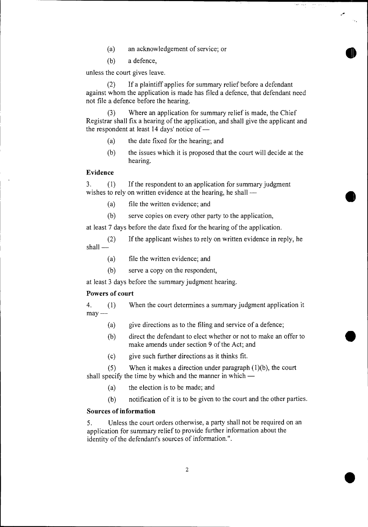- (a) an acknowledgement of service; or
- (b) a defence,

unless the court gives leave.

(2) If a plaintiff applies for summary relief before a defendant against whom the application is made has filed a defence, that defendant need not file a defence before the hearing.

ويون سوني ( ) ويوم العقود<br>المريد

(3) Where an application for summary relief is made, the Chief Registrar shall fix a hearing of the application, and shall give the applicant and the respondent at least 14 days' notice of —

- (a) the date fixed for the hearing; and
- (b) the issues which it is proposed that the court will decide at the hearing.

### **Evidence**

3. (1) If the respondent to an application for summary judgment wishes to rely on written evidence at the hearing, he shall —

- (a) file the written evidence; and
- (b) serve copies on every other party to the application,

at least 7 days before the date fixed for the hearing of the application.

- (2) If the applicant wishes to rely on written evidence in reply, he shall —
	- (a) file the written evidence; and
	- (b) serve a copy on the respondent,

at least 3 days before the summary judgment hearing.

#### **Powers of court**

4. (1) When the court determines a summary judgment application it  $may -$ 

- (a) give directions as to the filing and service of a defence;
- (b) direct the defendant to elect whether or not to make an offer to make amends under section 9 of the Act; and
- (c) give such further directions as it thinks fit.

(5) When it makes a direction under paragraph (1)(b), the court shall specify the time by which and the manner in which —

- (a) the election is to be made; and
- (b) notification of it is to be given to the court and the other parties.

#### **Sources of information**

5. Unless the court orders otherwise, a party shall not be required on an application for summary relief to provide further information about the identity of the defendant's sources of information.".